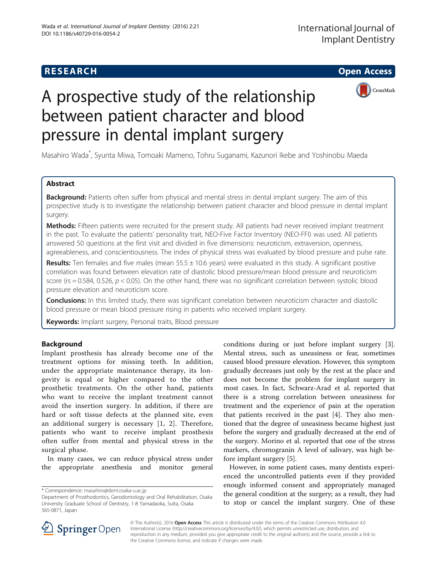**RESEARCH CHEAR CHEAR CHEAR CHEAR CHEAR CHEAR CHEAR CHEAR CHEAR CHEAR CHEAR CHEAR CHEAR CHEAR CHEAR CHEAR CHEAR** 



# A prospective study of the relationship between patient character and blood pressure in dental implant surgery

Masahiro Wada\* , Syunta Miwa, Tomoaki Mameno, Tohru Suganami, Kazunori Ikebe and Yoshinobu Maeda

# Abstract

Background: Patients often suffer from physical and mental stress in dental implant surgery. The aim of this prospective study is to investigate the relationship between patient character and blood pressure in dental implant surgery.

Methods: Fifteen patients were recruited for the present study. All patients had never received implant treatment in the past. To evaluate the patients' personality trait, NEO-Five Factor Inventory (NEO-FFI) was used. All patients answered 50 questions at the first visit and divided in five dimensions: neuroticism, extraversion, openness, agreeableness, and conscientiousness. The index of physical stress was evaluated by blood pressure and pulse rate.

Results: Ten females and five males (mean  $55.5 \pm 10.6$  years) were evaluated in this study. A significant positive correlation was found between elevation rate of diastolic blood pressure/mean blood pressure and neuroticism score (rs = 0.584, 0.526,  $p < 0.05$ ). On the other hand, there was no significant correlation between systolic blood pressure elevation and neuroticism score.

Conclusions: In this limited study, there was significant correlation between neuroticism character and diastolic blood pressure or mean blood pressure rising in patients who received implant surgery.

Keywords: Implant surgery, Personal traits, Blood pressure

# Background

Implant prosthesis has already become one of the treatment options for missing teeth. In addition, under the appropriate maintenance therapy, its longevity is equal or higher compared to the other prosthetic treatments. On the other hand, patients who want to receive the implant treatment cannot avoid the insertion surgery. In addition, if there are hard or soft tissue defects at the planned site, even an additional surgery is necessary [[1, 2](#page-4-0)]. Therefore, patients who want to receive implant prosthesis often suffer from mental and physical stress in the surgical phase.

In many cases, we can reduce physical stress under the appropriate anesthesia and monitor general

\* Correspondence: [masahiro@dent.osaka-u.ac.jp](mailto:masahiro@dent.osaka-u.ac.jp)

conditions during or just before implant surgery [\[3](#page-4-0)]. Mental stress, such as uneasiness or fear, sometimes caused blood pressure elevation. However, this symptom gradually decreases just only by the rest at the place and does not become the problem for implant surgery in most cases. In fact, Schwarz-Arad et al. reported that there is a strong correlation between uneasiness for treatment and the experience of pain at the operation that patients received in the past [\[4\]](#page-4-0). They also mentioned that the degree of uneasiness became highest just before the surgery and gradually decreased at the end of the surgery. Morino et al. reported that one of the stress markers, chromogranin A level of salivary, was high before implant surgery [\[5](#page-4-0)].

However, in some patient cases, many dentists experienced the uncontrolled patients even if they provided enough informed consent and appropriately managed the general condition at the surgery; as a result, they had to stop or cancel the implant surgery. One of these



© The Author(s). 2016 Open Access This article is distributed under the terms of the Creative Commons Attribution 4.0 International License ([http://creativecommons.org/licenses/by/4.0/\)](http://creativecommons.org/licenses/by/4.0/), which permits unrestricted use, distribution, and reproduction in any medium, provided you give appropriate credit to the original author(s) and the source, provide a link to the Creative Commons license, and indicate if changes were made.

Department of Prosthodontics, Gerodontology and Oral Rehabilitation, Osaka University Graduate School of Dentistry, 1-8 Yamadaoka, Suita, Osaka 565-0871, Japan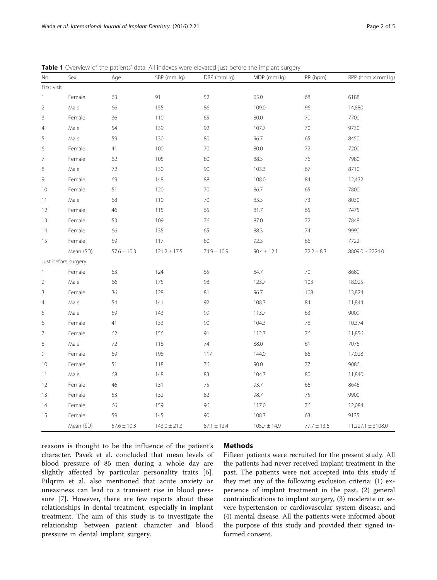| No.            | Sex                 | Age             | SBP (mmHg)       | DBP (mmHg)      | MDP (mmHg)       | PR (bpm)        | $RPP$ (bpm $\times$ mmHq) |  |
|----------------|---------------------|-----------------|------------------|-----------------|------------------|-----------------|---------------------------|--|
| First visit    |                     |                 |                  |                 |                  |                 |                           |  |
| $\mathbf{1}$   | Female              | 63              | 91               | 52              | 65.0             | 68              | 6188                      |  |
| $\overline{2}$ | Male                | 66              | 155              | 86              | 109.0            | 96              | 14,880                    |  |
| 3              | Female              | 36              | 110              | 65              | 80.0             | 70              | 7700                      |  |
| $\overline{4}$ | Male                | 54              | 139              | 92              | 107.7            | 70              | 9730                      |  |
| 5              | Male                | 59              | 130              | 80              | 96.7             | 65              | 8450                      |  |
| 6              | Female              | 41              | 100              | 70              | 80.0             | 72              | 7200                      |  |
| 7              | Female              | 62              | 105              | 80              | 88.3             | 76              | 7980                      |  |
| 8              | Male                | 72              | 130              | 90              | 103.3            | 67              | 8710                      |  |
| 9              | Female              | 69              | 148              | 88              | 108.0            | 84              | 12,432                    |  |
| 10             | Female              | 51              | 120              | 70              | 86.7             | 65              | 7800                      |  |
| $11\,$         | Male                | 68              | 110              | 70              | 83.3             | 73              | 8030                      |  |
| 12             | Female              | 46              | 115              | 65              | 81.7             | 65              | 7475                      |  |
| 13             | Female              | 53              | 109              | 76              | 87.0             | 72              | 7848                      |  |
| 14             | Female              | 66              | 135              | 65              | 88.3             | 74              | 9990                      |  |
| 15             | Female              | 59              | 117              | 80              | 92.3             | 66              | 7722                      |  |
|                | Mean (SD)           | $57.6 \pm 10.3$ | $121.2 \pm 17.5$ | $74.9 \pm 10.9$ | $90.4 \pm 12.1$  | $72.2 \pm 8.3$  | 8809.0 ± 2224.0           |  |
|                | Just before surgery |                 |                  |                 |                  |                 |                           |  |
| $\mathbf{1}$   | Female              | 63              | 124              | 65              | 84.7             | 70              | 8680                      |  |
| $\overline{2}$ | Male                | 66              | 175              | 98              | 123.7            | 103             | 18,025                    |  |
| 3              | Female              | 36              | 128              | 81              | 96.7             | 108             | 13,824                    |  |
| $\overline{4}$ | Male                | 54              | 141              | 92              | 108.3            | 84              | 11,844                    |  |
| 5              | Male                | 59              | 143              | 99              | 113.7            | 63              | 9009                      |  |
| 6              | Female              | 41              | 133              | 90              | 104.3            | 78              | 10,374                    |  |
| 7              | Female              | 62              | 156              | 91              | 112.7            | 76              | 11,856                    |  |
| 8              | Male                | 72              | 116              | 74              | 88.0             | 61              | 7076                      |  |
| 9              | Female              | 69              | 198              | 117             | 144.0            | 86              | 17,028                    |  |
| 10             | Female              | 51              | 118              | 76              | 90.0             | 77              | 9086                      |  |
| 11             | Male                | 68              | 148              | 83              | 104.7            | 80              | 11,840                    |  |
| 12             | Female              | 46              | 131              | 75              | 93.7             | 66              | 8646                      |  |
| 13             | Female              | 53              | 132              | 82              | 98.7             | 75              | 9900                      |  |
| 14             | Female              | 66              | 159              | 96              | 117.0            | 76              | 12,084                    |  |
| 15             | Female              | 59              | 145              | 90              | 108.3            | 63              | 9135                      |  |
|                | Mean (SD)           | $57.6 \pm 10.3$ | $143.0 \pm 21.3$ | $87.1 \pm 12.4$ | $105.7 \pm 14.9$ | $77.7 \pm 13.6$ | $11,227.1 \pm 3108.0$     |  |

<span id="page-1-0"></span>Table 1 Overview of the patients' data. All indexes were elevated just before the implant surgery

reasons is thought to be the influence of the patient's character. Pavek et al. concluded that mean levels of blood pressure of 85 men during a whole day are slightly affected by particular personality traits [\[6](#page-4-0)]. Pilqrim et al. also mentioned that acute anxiety or uneasiness can lead to a transient rise in blood pressure [[7\]](#page-4-0). However, there are few reports about these relationships in dental treatment, especially in implant treatment. The aim of this study is to investigate the relationship between patient character and blood pressure in dental implant surgery.

#### **Methods**

Fifteen patients were recruited for the present study. All the patients had never received implant treatment in the past. The patients were not accepted into this study if they met any of the following exclusion criteria: (1) experience of implant treatment in the past, (2) general contraindications to implant surgery, (3) moderate or severe hypertension or cardiovascular system disease, and (4) mental disease. All the patients were informed about the purpose of this study and provided their signed informed consent.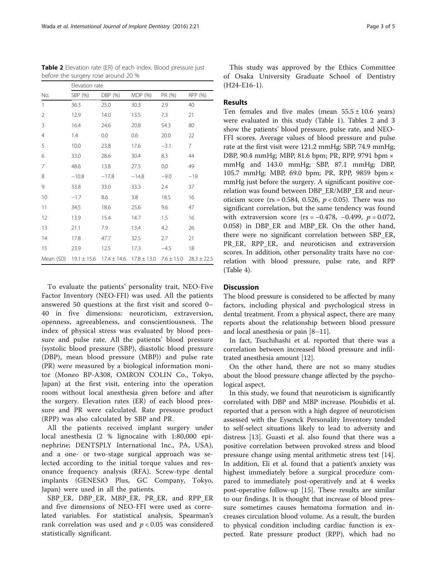To evaluate the patients' personality trait, NEO-Five Factor Inventory (NEO-FFI) was used. All the patients answered 50 questions at the first visit and scored 0– 40 in five dimensions: neuroticism, extraversion, openness, agreeableness, and conscientiousness. The index of physical stress was evaluated by blood pressure and pulse rate. All the patients' blood pressure (systolic blood pressure (SBP), diastolic blood pressure (DBP), mean blood pressure (MBP)) and pulse rate (PR) were measured by a biological information monitor (Moneo BP-A308, OMRON COLIN Co., Tokyo, Japan) at the first visit, entering into the operation room without local anesthesia given before and after the surgery. Elevation rates (ER) of each blood pressure and PR were calculated. Rate pressure product (RPP) was also calculated by SBP and PR.

All the patients received implant surgery under local anesthesia (2 % lignocaine with 1:80,000 epinephrine; DENTSPLY International Inc., PA, USA), and a one- or two-stage surgical approach was selected according to the initial torque values and resonance frequency analysis (RFA). Screw-type dental implants (GENESiO Plus, GC Company, Tokyo, Japan) were used in all the patients.

SBP\_ER, DBP\_ER, MBP\_ER, PR\_ER, and RPP\_ER and five dimensions of NEO-FFI were used as correlated variables. For statistical analysis, Spearman's rank correlation was used and  $p < 0.05$  was considered statistically significant.

This study was approved by the Ethics Committee of Osaka University Graduate School of Dentistry (H24-E16-1).

## Results

Ten females and five males (mean  $55.5 \pm 10.6$  years) were evaluated in this study (Table [1](#page-1-0)). Tables 2 and [3](#page-3-0) show the patients' blood pressure, pulse rate, and NEO-FFI scores. Average values of blood pressure and pulse rate at the first visit were 121.2 mmHg; SBP, 74.9 mmHg; DBP, 90.4 mmHg; MBP, 81.6 bpm; PR, RPP, 9791 bpm × mmHg and 143.0 mmHg; SBP, 87.1 mmHg; DBP, 105.7 mmHg; MBP, 69.0 bpm; PR, RPP, 9859 bpm × mmHg just before the surgery. A significant positive correlation was found between DBP\_ER/MBP\_ER and neuroticism score (rs = 0.584, 0.526,  $p < 0.05$ ). There was no significant correlation, but the same tendency was found with extraversion score (rs =  $-0.478$ ,  $-0.499$ ,  $p = 0.072$ , 0.058) in DBP ER and MBP ER. On the other hand, there were no significant correlation between SBP\_ER, PR\_ER, RPP\_ER, and neuroticism and extraversion scores. In addition, other personality traits have no correlation with blood pressure, pulse rate, and RPP (Table [4\)](#page-3-0).

## **Discussion**

The blood pressure is considered to be affected by many factors, including physical and psychological stress in dental treatment. From a physical aspect, there are many reports about the relationship between blood pressure and local anesthesia or pain [[8](#page-4-0)–[11](#page-4-0)].

In fact, Tsuchihashi et al. reported that there was a correlation between increased blood pressure and infiltrated anesthesia amount [[12\]](#page-4-0).

On the other hand, there are not so many studies about the blood pressure change affected by the psychological aspect.

In this study, we found that neuroticism is significantly correlated with DBP and MBP increase. Ploubidis et al. reported that a person with a high degree of neuroticism assessed with the Eysenck Personality Inventory tended to self-select situations likely to lead to adversity and distress [[13\]](#page-4-0). Guasti et al. also found that there was a positive correlation between provoked stress and blood pressure change using mental arithmetic stress test [\[14](#page-4-0)]. In addition, Eli et al. found that a patient's anxiety was highest immediately before a surgical procedure compared to immediately post-operatively and at 4 weeks post-operative follow-up [\[15\]](#page-4-0). These results are similar to our findings. It is thought that increase of blood pressure sometimes causes hematoma formation and increases circulation blood volume. As a result, the burden to physical condition including cardiac function is expected. Rate pressure product (RPP), which had no

Table 2 Elevation rate (ER) of each index. Blood pressure just before the surgery rose around 20 %

|                | Elevation rate |                                                                          |         |        |                 |  |  |  |
|----------------|----------------|--------------------------------------------------------------------------|---------|--------|-----------------|--|--|--|
| No.            | SBP (%)        | DBP (%)                                                                  | MDP (%) | PR (%) | RPP (%)         |  |  |  |
| $\mathbf{1}$   | 36.3           | 25.0                                                                     | 30.3    | 2.9    | 40              |  |  |  |
| $\overline{2}$ | 12.9           | 14.0                                                                     | 13.5    | 7.3    | 21              |  |  |  |
| 3              | 16.4           | 24.6                                                                     | 20.8    | 54.3   | 80              |  |  |  |
| 4              | 1.4            | $0.0\,$                                                                  | 0.6     | 20.0   | 22              |  |  |  |
| 5              | 10.0           | 23.8                                                                     | 17.6    | $-3.1$ | 7               |  |  |  |
| 6              | 33.0           | 28.6                                                                     | 30.4    | 8.3    | 44              |  |  |  |
| 7              | 48.6           | 13.8                                                                     | 27.5    | 0.0    | 49              |  |  |  |
| 8              | $-10.8$        | $-17.8$                                                                  | $-14.8$ | $-9.0$ | $-19$           |  |  |  |
| 9              | 33.8           | 33.0                                                                     | 33.3    | 2.4    | 37              |  |  |  |
| 10             | $-1.7$         | 8.6                                                                      | 3.8     | 18.5   | 16              |  |  |  |
| 11             | 34.5           | 18.6                                                                     | 25.6    | 9.6    | 47              |  |  |  |
| 12             | 13.9           | 15.4                                                                     | 14.7    | 1.5    | 16              |  |  |  |
| 13             | 21.1           | 7.9                                                                      | 13.4    | 4.2    | 26              |  |  |  |
| 14             | 17.8           | 47.7                                                                     | 32.5    | 2.7    | 21              |  |  |  |
| 15             | 23.9           | 12.5                                                                     | 17.3    | $-4.5$ | 18              |  |  |  |
|                |                | Mean (SD) $19.1 \pm 15.6$ $17.4 \pm 14.6$ $17.8 \pm 13.0$ $7.6 \pm 15.0$ |         |        | $28.3 \pm 22.5$ |  |  |  |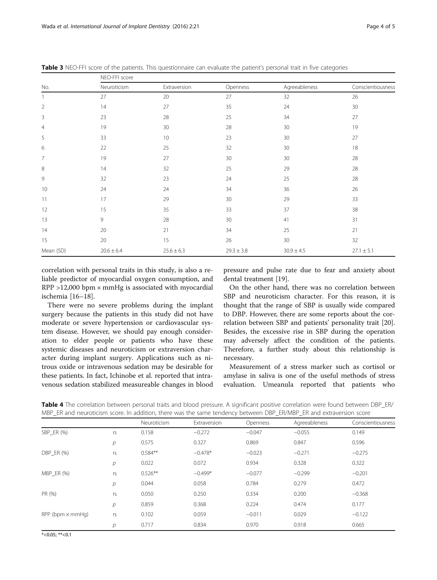| Neuroticism<br>27<br>14<br>23 | Extraversion<br>20<br>27 | Openness<br>27<br>35 | Agreeableness<br>32 | Conscientiousness<br>26 |
|-------------------------------|--------------------------|----------------------|---------------------|-------------------------|
|                               |                          |                      |                     |                         |
|                               |                          |                      |                     |                         |
|                               |                          |                      | 24                  | 30                      |
|                               | 28                       | 25                   | 34                  | 27                      |
| 19                            | 30                       | 28                   | 30                  | 19                      |
| 33                            | 10                       | 23                   | 30                  | 27                      |
| 22                            | 25                       | 32                   | 30                  | 18                      |
| 19                            | 27                       | 30                   | 30                  | 28                      |
| 14                            | 32                       | 25                   | 29                  | 28                      |
| 32                            | 23                       | 24                   | 25                  | 28                      |
| 24                            | 24                       | 34                   | 36                  | 26                      |
| 17                            | 29                       | 30                   | 29                  | 33                      |
| 15                            | 35                       | 33                   | 37                  | 38                      |
| 9                             | 28                       | 30                   | 41                  | 31                      |
| 20                            | 21                       | 34                   | 25                  | 21                      |
| 20                            | 15                       | 26                   | 30                  | 32                      |
| $20.6 \pm 6.4$                | $25.6 \pm 6.3$           | $29.3 \pm 3.8$       | $30.9 \pm 4.5$      | $27.1 \pm 5.1$          |
|                               |                          |                      |                     |                         |

<span id="page-3-0"></span>Table 3 NEO-FFI score of the patients. This questionnaire can evaluate the patient's personal trait in five categories

correlation with personal traits in this study, is also a reliable predictor of myocardial oxygen consumption, and RPP >12,000 bpm × mmHg is associated with myocardial ischemia [\[16](#page-4-0)–[18\]](#page-4-0).

There were no severe problems during the implant surgery because the patients in this study did not have moderate or severe hypertension or cardiovascular system disease. However, we should pay enough consideration to elder people or patients who have these systemic diseases and neuroticism or extraversion character during implant surgery. Applications such as nitrous oxide or intravenous sedation may be desirable for these patients. In fact, Ichinobe et al. reported that intravenous sedation stabilized measureable changes in blood

pressure and pulse rate due to fear and anxiety about dental treatment [[19\]](#page-4-0).

On the other hand, there was no correlation between SBP and neuroticism character. For this reason, it is thought that the range of SBP is usually wide compared to DBP. However, there are some reports about the correlation between SBP and patients' personality trait [\[20](#page-4-0)]. Besides, the excessive rise in SBP during the operation may adversely affect the condition of the patients. Therefore, a further study about this relationship is necessary.

Measurement of a stress marker such as cortisol or amylase in saliva is one of the useful methods of stress evaluation. Umeanula reported that patients who

|  | Table 4 The correlation between personal traits and blood pressure. A significant positive correlation were found between DBP_ER/ |  |  |  |  |  |  |  |
|--|-----------------------------------------------------------------------------------------------------------------------------------|--|--|--|--|--|--|--|
|  | MBP ER and neuroticism score. In addition, there was the same tendency between DBP ER/MBP ER and extraversion score               |  |  |  |  |  |  |  |

|                           |                | Neuroticism | Extraversion | Openness | Agreeableness | Conscientiousness |
|---------------------------|----------------|-------------|--------------|----------|---------------|-------------------|
| SBP ER (%)                | rs             | 0.158       | $-0.272$     | $-0.047$ | $-0.055$      | 0.149             |
|                           | $\overline{p}$ | 0.575       | 0.327        | 0.869    | 0.847         | 0.596             |
| DBP_ER (%)                | rs             | $0.584**$   | $-0.478*$    | $-0.023$ | $-0.271$      | $-0.275$          |
|                           | р              | 0.022       | 0.072        | 0.934    | 0.328         | 0.322             |
| $MBP$ ER $(\%)$           | rs             | $0.526**$   | $-0.499*$    | $-0.077$ | $-0.299$      | $-0.201$          |
|                           | $\mathcal{D}$  | 0.044       | 0.058        | 0.784    | 0.279         | 0.472             |
| PR (%)                    | rs             | 0.050       | 0.250        | 0.334    | 0.200         | $-0.368$          |
|                           | р              | 0.859       | 0.368        | 0.224    | 0.474         | 0.177             |
| $RPP$ (bpm $\times$ mmHq) | rs             | 0.102       | 0.059        | $-0.011$ | 0.029         | $-0.122$          |
|                           | р              | 0.717       | 0.834        | 0.970    | 0.918         | 0.665             |

 $*$  <0.05; \*\* <0.1